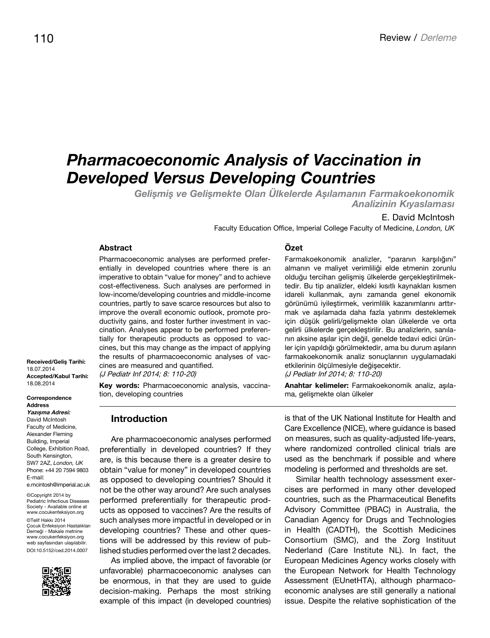# *Pharmacoeconomic Analysis of Vaccination in Developed Versus Developing Countries*

*Gelişmiş ve Gelişmekte Olan Ülkelerde Aşılamanın Farmakoekonomik Analizinin Kıyaslaması*

#### E. David McIntosh

Faculty Education Office, Imperial College Faculty of Medicine, *London, UK*

#### **Abstract**

Pharmacoeconomic analyses are performed preferentially in developed countries where there is an imperative to obtain "value for money" and to achieve cost-effectiveness. Such analyses are performed in low-income/developing countries and middle-income countries, partly to save scarce resources but also to improve the overall economic outlook, promote productivity gains, and foster further investment in vaccination. Analyses appear to be performed preferentially for therapeutic products as opposed to vaccines, but this may change as the impact of applying the results of pharmacoeconomic analyses of vaccines are measured and quantified.

(J Pediatr Inf 2014; 8: 110-20)

**Key words:** Pharmacoeconomic analysis, vaccination, developing countries

#### **Introduction**

Are pharmacoeconomic analyses performed preferentially in developed countries? If they are, is this because there is a greater desire to obtain "value for money" in developed countries as opposed to developing countries? Should it not be the other way around? Are such analyses performed preferentially for therapeutic products as opposed to vaccines? Are the results of such analyses more impactful in developed or in developing countries? These and other questions will be addressed by this review of published studies performed over the last 2 decades.

As implied above, the impact of favorable (or unfavorable) pharmacoeconomic analyses can be enormous, in that they are used to guide decision-making. Perhaps the most striking example of this impact (in developed countries)

# **Özet**

Farmakoekonomik analizler, "paranın karşılığını" almanın ve maliyet verimliliği elde etmenin zorunlu olduğu tercihan gelişmiş ülkelerde gerçekleştirilmektedir. Bu tip analizler, eldeki kısıtlı kaynakları kısmen idareli kullanmak, aynı zamanda genel ekonomik görünümü iyileştirmek, verimlilik kazanımlarını arttırmak ve aşılamada daha fazla yatırımı desteklemek için düşük gelirli/gelişmekte olan ülkelerde ve orta gelirli ülkelerde gerçekleştirilir. Bu analizlerin, sanılanın aksine aşılar için değil, genelde tedavi edici ürünler için yapıldığı görülmektedir, ama bu durum aşıların farmakoekonomik analiz sonuçlarının uygulamadaki etkilerinin ölçülmesiyle değişecektir. (J Pediatr Inf 2014; 8: 110-20)

**Anahtar kelimeler:** Farmakoekonomik analiz, aşılama, gelişmekte olan ülkeler

is that of the UK National Institute for Health and Care Excellence (NICE), where guidance is based on measures, such as quality-adjusted life-years, where randomized controlled clinical trials are used as the benchmark if possible and where modeling is performed and thresholds are set.

Similar health technology assessment exercises are performed in many other developed countries, such as the Pharmaceutical Benefits Advisory Committee (PBAC) in Australia, the Canadian Agency for Drugs and Technologies in Health (CADTH), the Scottish Medicines Consortium (SMC), and the Zorg Instituut Nederland (Care Institute NL). In fact, the European Medicines Agency works closely with the European Network for Health Technology Assessment (EUnetHTA), although pharmacoeconomic analyses are still generally a national issue. Despite the relative sophistication of the

**Received/Geliş Tarihi:**  18.07.2014 **Accepted/Kabul Tarihi:**  18.08.2014

**Correspondence Address Yazışma Adresi:** David McIntosh Faculty of Medicine, Alexander Fleming Building, Imperial College, Exhibition Road, South Kensington, SW7 2AZ, *London, UK* Phone: +44 20 7594 9803 E-mail: e.mcintosh@imperial.ac.uk

©Copyright 2014 by Pediatric Infectious Diseases Society - Available online at www.cocukenfeksiyon.org ©Telif Hakkı 2014 Çocuk Enfeksiyon Hastalıkları Derneği - Makale metnine www.cocukenfeksiyon.org web sayfasından ulaşılabilir. DOI:10.5152/ced.2014.0007

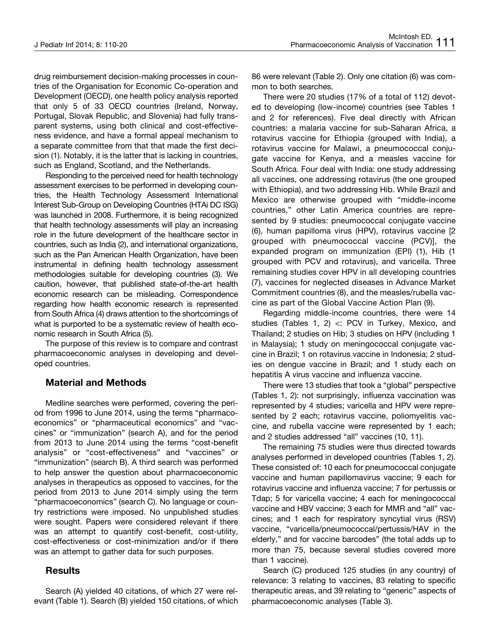drug reimbursement decision-making processes in countries of the Organisation for Economic Co-operation and Development (OECD), one health policy analysis reported that only 5 of 33 OECD countries (Ireland, Norway, Portugal, Slovak Republic, and Slovenia) had fully transparent systems, using both clinical and cost-effectiveness evidence, and have a formal appeal mechanism to a separate committee from that that made the first decision (1). Notably, it is the latter that is lacking in countries, such as England, Scotland, and the Netherlands.

Responding to the perceived need for health technology assessment exercises to be performed in developing countries, the Health Technology Assessment International Interest Sub-Group on Developing Countries (HTAi DC ISG) was launched in 2008. Furthermore, it is being recognized that health technology assessments will play an increasing role in the future development of the healthcare sector in countries, such as India (2), and international organizations, such as the Pan American Health Organization, have been instrumental in defining health technology assessment methodologies suitable for developing countries (3). We caution, however, that published state-of-the-art health economic research can be misleading. Correspondence regarding how health economic research is represented from South Africa (4) draws attention to the shortcomings of what is purported to be a systematic review of health economic research in South Africa (5).

The purpose of this review is to compare and contrast pharmacoeconomic analyses in developing and developed countries.

## **Material and Methods**

Medline searches were performed, covering the period from 1996 to June 2014, using the terms "pharmacoeconomics" or "pharmaceutical economics" and "vaccines" or "immunization" (search A), and for the period from 2013 to June 2014 using the terms "cost-benefit analysis" or "cost-effectiveness" and "vaccines" or "immunization" (search B). A third search was performed to help answer the question about pharmacoeconomic analyses in therapeutics as opposed to vaccines, for the period from 2013 to June 2014 simply using the term "pharmacoeconomics" (search C). No language or country restrictions were imposed. No unpublished studies were sought. Papers were considered relevant if there was an attempt to quantify cost-benefit, cost-utility, cost-effectiveness or cost-minimization and/or if there was an attempt to gather data for such purposes.

## **Results**

Search (A) yielded 40 citations, of which 27 were relevant (Table 1). Search (B) yielded 150 citations, of which 86 were relevant (Table 2). Only one citation (6) was common to both searches.

There were 20 studies (17% of a total of 112) devoted to developing (low-income) countries (see Tables 1 and 2 for references). Five deal directly with African countries: a malaria vaccine for sub-Saharan Africa, a rotavirus vaccine for Ethiopia (grouped with India), a rotavirus vaccine for Malawi, a pneumococcal conjugate vaccine for Kenya, and a measles vaccine for South Africa. Four deal with India: one study addressing all vaccines, one addressing rotavirus (the one grouped with Ethiopia), and two addressing Hib. While Brazil and Mexico are otherwise grouped with "middle-income countries," other Latin America countries are represented by 9 studies: pneumococcal conjugate vaccine (6), human papilloma virus (HPV), rotavirus vaccine [2 grouped with pneumococcal vaccine (PCV)], the expanded program on immunization (EPI) (1), Hib (1 grouped with PCV and rotavirus), and varicella. Three remaining studies cover HPV in all developing countries (7), vaccines for neglected diseases in Advance Market Commitment countries (8), and the measles/rubella vaccine as part of the Global Vaccine Action Plan (9).

Regarding middle-income countries, there were 14 studies (Tables 1, 2) <: PCV in Turkey, Mexico, and Thailand; 2 studies on Hib; 3 studies on HPV (including 1 in Malaysia); 1 study on meningococcal conjugate vaccine in Brazil; 1 on rotavirus vaccine in Indonesia; 2 studies on dengue vaccine in Brazil; and 1 study each on hepatitis A virus vaccine and influenza vaccine.

There were 13 studies that took a "global" perspective (Tables 1, 2): not surprisingly, influenza vaccination was represented by 4 studies; varicella and HPV were represented by 2 each; rotavirus vaccine, poliomyelitis vaccine, and rubella vaccine were represented by 1 each; and 2 studies addressed "all" vaccines (10, 11).

The remaining 75 studies were thus directed towards analyses performed in developed countries (Tables 1, 2). These consisted of: 10 each for pneumococcal conjugate vaccine and human papillomavirus vaccine; 9 each for rotavirus vaccine and influenza vaccine; 7 for pertussis or Tdap; 5 for varicella vaccine; 4 each for meningococcal vaccine and HBV vaccine; 3 each for MMR and "all" vaccines; and 1 each for respiratory syncytial virus (RSV) vaccine, "varicella/pneumococcal/pertussis/HAV in the elderly," and for vaccine barcodes" (the total adds up to more than 75, because several studies covered more than 1 vaccine).

Search (C) produced 125 studies (in any country) of relevance: 3 relating to vaccines, 83 relating to specific therapeutic areas, and 39 relating to "generic" aspects of pharmacoeconomic analyses (Table 3).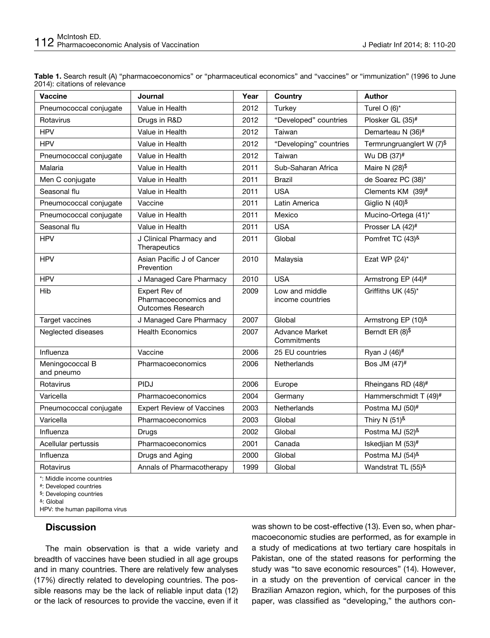| <b>Vaccine</b>                | Journal                                                            | Year | Country                              | <b>Author</b>                     |
|-------------------------------|--------------------------------------------------------------------|------|--------------------------------------|-----------------------------------|
| Pneumococcal conjugate        | Value in Health                                                    | 2012 | Turkey                               | Turel $O(6)^*$                    |
| Rotavirus                     | Drugs in R&D                                                       | 2012 | "Developed" countries                | Plosker GL (35)#                  |
| <b>HPV</b>                    | Value in Health                                                    | 2012 | Taiwan                               | Demarteau N (36)#                 |
| <b>HPV</b>                    | Value in Health                                                    | 2012 | "Developing" countries               | Termrungruanglert W (7)\$         |
| Pneumococcal conjugate        | Value in Health                                                    | 2012 | Taiwan                               | Wu DB (37) <sup>#</sup>           |
| Malaria                       | Value in Health                                                    | 2011 | Sub-Saharan Africa                   | Maire N $(28)^{\$}$               |
| Men C conjugate               | Value in Health                                                    | 2011 | <b>Brazil</b>                        | de Soarez PC (38)*                |
| Seasonal flu                  | Value in Health                                                    | 2011 | <b>USA</b>                           | Clements $KM$ (39) <sup>#</sup>   |
| Pneumococcal conjugate        | Vaccine                                                            | 2011 | Latin America                        | Giglio N $(40)^{\$}$              |
| Pneumococcal conjugate        | Value in Health                                                    | 2011 | Mexico                               | Mucino-Ortega (41)*               |
| Seasonal flu                  | Value in Health                                                    | 2011 | <b>USA</b>                           | Prosser LA (42) <sup>#</sup>      |
| <b>HPV</b>                    | J Clinical Pharmacy and<br>Therapeutics                            | 2011 | Global                               | Pomfret TC (43)&                  |
| <b>HPV</b>                    | Asian Pacific J of Cancer<br>Prevention                            | 2010 | Malaysia                             | Ezat WP $(24)^*$                  |
| <b>HPV</b>                    | J Managed Care Pharmacy                                            | 2010 | <b>USA</b>                           | Armstrong EP (44)#                |
| Hib                           | Expert Rev of<br>Pharmacoeconomics and<br><b>Outcomes Research</b> | 2009 | Low and middle<br>income countries   | Griffiths UK (45)*                |
| Target vaccines               | J Managed Care Pharmacy                                            | 2007 | Global                               | Armstrong EP (10)&                |
| Neglected diseases            | <b>Health Economics</b>                                            | 2007 | <b>Advance Market</b><br>Commitments | Berndt ER (8)\$                   |
| Influenza                     | Vaccine                                                            | 2006 | 25 EU countries                      | Ryan J (46) <sup>#</sup>          |
| Meningococcal B<br>and pneumo | Pharmacoeconomics                                                  | 2006 | Netherlands                          | Bos JM (47)#                      |
| Rotavirus                     | <b>PIDJ</b>                                                        | 2006 | Europe                               | Rheingans RD (48)#                |
| Varicella                     | Pharmacoeconomics                                                  | 2004 | Germany                              | Hammerschmidt T (49) <sup>#</sup> |
| Pneumococcal conjugate        | <b>Expert Review of Vaccines</b>                                   | 2003 | Netherlands                          | Postma MJ (50)#                   |
| Varicella                     | Pharmacoeconomics                                                  | 2003 | Global                               | Thiry N $(51)^{8}$                |
| Influenza                     | Drugs                                                              | 2002 | Global                               | Postma MJ (52)&                   |
| Acellular pertussis           | Pharmacoeconomics                                                  | 2001 | Canada                               | Iskedjian M (53)#                 |
| Influenza                     | Drugs and Aging                                                    | 2000 | Global                               | Postma MJ (54)&                   |
| Rotavirus                     | Annals of Pharmacotherapy                                          | 1999 | Global                               | Wandstrat TL (55)&                |
| *: Middle income countries    |                                                                    |      |                                      |                                   |

**Table 1.** Search result (A) "pharmacoeconomics" or "pharmaceutical economics" and "vaccines" or "immunization" (1996 to June 2014): citations of relevance

#: Developed countries

\$: Developing countries

&: Global

HPV: the human papilloma virus

#### **Discussion**

The main observation is that a wide variety and breadth of vaccines have been studied in all age groups and in many countries. There are relatively few analyses (17%) directly related to developing countries. The possible reasons may be the lack of reliable input data (12) or the lack of resources to provide the vaccine, even if it was shown to be cost-effective (13). Even so, when pharmacoeconomic studies are performed, as for example in a study of medications at two tertiary care hospitals in Pakistan, one of the stated reasons for performing the study was "to save economic resources" (14). However, in a study on the prevention of cervical cancer in the Brazilian Amazon region, which, for the purposes of this paper, was classified as "developing," the authors con-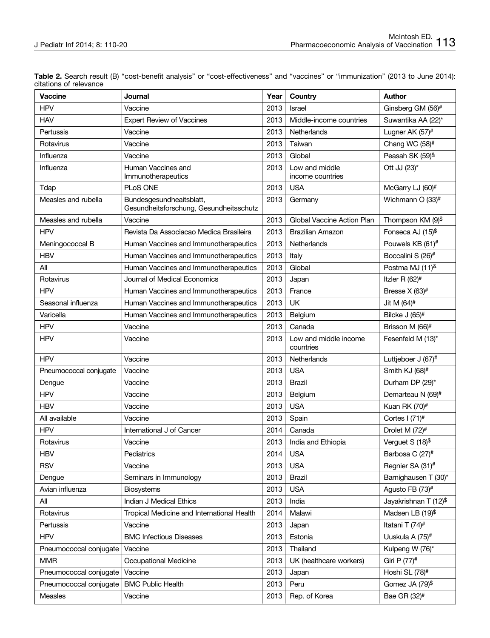| <b>Vaccine</b>         | Journal                                                             | Year | Country                            | <b>Author</b>                 |
|------------------------|---------------------------------------------------------------------|------|------------------------------------|-------------------------------|
| <b>HPV</b>             | Vaccine                                                             | 2013 | Israel                             | Ginsberg GM (56) <sup>#</sup> |
| <b>HAV</b>             | <b>Expert Review of Vaccines</b>                                    | 2013 | Middle-income countries            | Suwantika AA (22)*            |
| Pertussis              | Vaccine                                                             | 2013 | Netherlands                        | Lugner AK (57)#               |
| Rotavirus              | Vaccine                                                             | 2013 | Taiwan                             | Chang WC (58)#                |
| Influenza              | Vaccine                                                             | 2013 | Global                             | Peasah SK (59)&               |
| Influenza              | Human Vaccines and<br>Immunotherapeutics                            | 2013 | Low and middle<br>income countries | Ott JJ (23)*                  |
| Tdap                   | PLoS ONE                                                            | 2013 | <b>USA</b>                         | McGarry LJ (60)#              |
| Measles and rubella    | Bundesgesundheaitsblatt,<br>Gesundheitsforschung, Gesundheitsschutz | 2013 | Germany                            | Wichmann O (33) <sup>#</sup>  |
| Measles and rubella    | Vaccine                                                             | 2013 | Global Vaccine Action Plan         | Thompson KM (9)\$             |
| <b>HPV</b>             | Revista Da Associacao Medica Brasileira                             | 2013 | <b>Brazilian Amazon</b>            | Fonseca AJ (15)\$             |
| Meningococcal B        | Human Vaccines and Immunotherapeutics                               | 2013 | Netherlands                        | Pouwels KB (61) <sup>#</sup>  |
| <b>HBV</b>             | Human Vaccines and Immunotherapeutics                               | 2013 | Italy                              | Boccalini S (26)#             |
| All                    | Human Vaccines and Immunotherapeutics                               | 2013 | Global                             | Postma MJ (11)&               |
| Rotavirus              | Journal of Medical Economics                                        | 2013 | Japan                              | Itzler R $(62)^#$             |
| <b>HPV</b>             | Human Vaccines and Immunotherapeutics                               | 2013 | France                             | Bresse $X$ (63) <sup>#</sup>  |
| Seasonal influenza     | Human Vaccines and Immunotherapeutics                               | 2013 | <b>UK</b>                          | Jit M (64)#                   |
| Varicella              | Human Vaccines and Immunotherapeutics                               | 2013 | Belgium                            | Bilcke J (65)#                |
| <b>HPV</b>             | Vaccine                                                             | 2013 | Canada                             | Brisson M (66)#               |
| <b>HPV</b>             | Vaccine                                                             | 2013 | Low and middle income<br>countries | Fesenfeld M (13)*             |
| <b>HPV</b>             | Vaccine                                                             | 2013 | Netherlands                        | Luttjeboer J (67)#            |
| Pneumococcal conjugate | Vaccine                                                             | 2013 | <b>USA</b>                         | Smith KJ (68) <sup>#</sup>    |
| Dengue                 | Vaccine                                                             | 2013 | Brazil                             | Durham DP (29)*               |
| <b>HPV</b>             | Vaccine                                                             | 2013 | Belgium                            | Demarteau N (69)#             |
| <b>HBV</b>             | Vaccine                                                             | 2013 | <b>USA</b>                         | Kuan RK (70) <sup>#</sup>     |
| All available          | Vaccine                                                             | 2013 | Spain                              | Cortes $1(71)^#$              |
| <b>HPV</b>             | International J of Cancer                                           | 2014 | Canada                             | Drolet M (72) <sup>#</sup>    |
| Rotavirus              | Vaccine                                                             | 2013 | India and Ethiopia                 | Verguet S (18)\$              |
| <b>HBV</b>             | Pediatrics                                                          | 2014 | <b>USA</b>                         | Barbosa C (27) <sup>#</sup>   |
| <b>RSV</b>             | Vaccine                                                             | 2013 | <b>USA</b>                         | Regnier SA (31)#              |
| Dengue                 | Seminars in Immunology                                              | 2013 | Brazil                             | Barnighausen T (30)*          |
| Avian influenza        | <b>Biosystems</b>                                                   | 2013 | <b>USA</b>                         | Agusto FB (73) <sup>#</sup>   |
| All                    | Indian J Medical Ethics                                             | 2013 | India                              | Jayakrishnan T (12)\$         |
| Rotavirus              | Tropical Medicine and International Health                          | 2014 | Malawi                             | Madsen LB $(19)^{\$}$         |
| Pertussis              | Vaccine                                                             | 2013 | Japan                              | Itatani T (74) <sup>#</sup>   |
| <b>HPV</b>             | <b>BMC Infectious Diseases</b>                                      | 2013 | Estonia                            | Uuskula A (75)#               |
| Pneumococcal conjugate | Vaccine                                                             | 2013 | Thailand                           | Kulpeng W (76)*               |
| <b>MMR</b>             | Occupational Medicine                                               | 2013 | UK (healthcare workers)            | Giri P (77)#                  |
| Pneumococcal conjugate | Vaccine                                                             | 2013 | Japan                              | Hoshi SL (78) <sup>#</sup>    |
| Pneumococcal conjugate | <b>BMC Public Health</b>                                            | 2013 | Peru                               | Gomez JA (79)\$               |
| Measles                | Vaccine                                                             | 2013 | Rep. of Korea                      | Bae GR (32) <sup>#</sup>      |

**Table 2.** Search result (B) "cost-benefit analysis" or "cost-effectiveness" and "vaccines" or "immunization" (2013 to June 2014): citations of relevance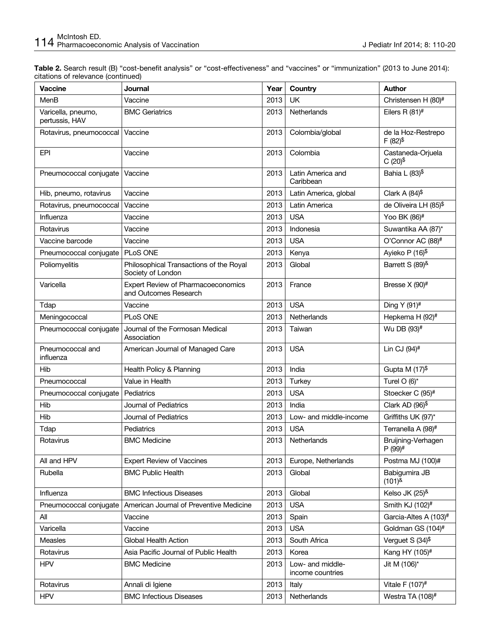**Table 2.** Search result (B) "cost-benefit analysis" or "cost-effectiveness" and "vaccines" or "immunization" (2013 to June 2014): citations of relevance (continued)

| <b>Vaccine</b>                       | <b>Journal</b>                                               | Year | Country                              | <b>Author</b>                              |
|--------------------------------------|--------------------------------------------------------------|------|--------------------------------------|--------------------------------------------|
| MenB                                 | Vaccine                                                      | 2013 | <b>UK</b>                            | Christensen H (80)#                        |
| Varicella, pneumo,<br>pertussis, HAV | <b>BMC Geriatrics</b>                                        | 2013 | Netherlands                          | Eilers R $(81)$ <sup>#</sup>               |
| Rotavirus, pneumococcal              | Vaccine                                                      | 2013 | Colombia/global                      | de la Hoz-Restrepo<br>$F(82)^{\$}$         |
| EPI                                  | Vaccine                                                      | 2013 | Colombia                             | Castaneda-Orjuela<br>$C(20)^{\$}$          |
| Pneumococcal conjugate               | Vaccine                                                      | 2013 | Latin America and<br>Caribbean       | Bahia L (83)\$                             |
| Hib, pneumo, rotavirus               | Vaccine                                                      | 2013 | Latin America, global                | Clark A $(84)$ <sup>\$</sup>               |
| Rotavirus, pneumococcal              | Vaccine                                                      | 2013 | Latin America                        | de Oliveira LH (85)\$                      |
| Influenza                            | Vaccine                                                      | 2013 | <b>USA</b>                           | Yoo BK (86)#                               |
| Rotavirus                            | Vaccine                                                      | 2013 | Indonesia                            | Suwantika AA (87)*                         |
| Vaccine barcode                      | Vaccine                                                      | 2013 | <b>USA</b>                           | O'Connor AC (88) <sup>#</sup>              |
| Pneumococcal conjugate               | PLoS ONE                                                     | 2013 | Kenya                                | Ayieko P (16)\$                            |
| Poliomyelitis                        | Philosophical Transactions of the Royal<br>Society of London | 2013 | Global                               | Barrett S (89)&                            |
| Varicella                            | Expert Review of Pharmacoeconomics<br>and Outcomes Research  | 2013 | France                               | Bresse X (90) <sup>#</sup>                 |
| Tdap                                 | Vaccine                                                      | 2013 | <b>USA</b>                           | Ding Y (91)#                               |
| Meningococcal                        | <b>PLoS ONE</b>                                              | 2013 | Netherlands                          | Hepkema H (92) <sup>#</sup>                |
| Pneumococcal conjugate               | Journal of the Formosan Medical<br>Association               | 2013 | Taiwan                               | Wu DB (93)#                                |
| Pneumococcal and<br>influenza        | American Journal of Managed Care                             | 2013 | <b>USA</b>                           | Lin CJ (94) <sup>#</sup>                   |
| Hib                                  | Health Policy & Planning                                     | 2013 | India                                | Gupta M $(17)^{\$}$                        |
| Pneumococcal                         | Value in Health                                              | 2013 | Turkey                               | Turel $O(6)^*$                             |
| Pneumococcal conjugate               | Pediatrics                                                   | 2013 | <b>USA</b>                           | Stoecker C (95)#                           |
| Hib                                  | Journal of Pediatrics                                        | 2013 | India                                | Clark AD $(96)^{\$}$                       |
| Hib                                  | Journal of Pediatrics                                        | 2013 | Low- and middle-income               | Griffiths UK (97)*                         |
| Tdap                                 | Pediatrics                                                   | 2013 | <b>USA</b>                           | Terranella A (98)#                         |
| Rotavirus                            | <b>BMC Medicine</b>                                          | 2013 | Netherlands                          | Bruijning-Verhagen<br>$P(99)$ <sup>#</sup> |
| All and HPV                          | <b>Expert Review of Vaccines</b>                             | 2013 | Europe, Netherlands                  | Postma MJ (100)#                           |
| Rubella                              | <b>BMC Public Health</b>                                     | 2013 | Global                               | Babigumira JB<br>$(101)^{8}$               |
| Influenza                            | <b>BMC Infectious Diseases</b>                               | 2013 | Global                               | Kelso JK $(25)^{8}$                        |
| Pneumococcal conjugate               | American Journal of Preventive Medicine                      | 2013 | <b>USA</b>                           | Smith KJ (102) <sup>#</sup>                |
| All                                  | Vaccine                                                      | 2013 | Spain                                | Garcia-Altes A (103)#                      |
| Varicella                            | Vaccine                                                      | 2013 | <b>USA</b>                           | Goldman GS (104)#                          |
| <b>Measles</b>                       | Global Health Action                                         | 2013 | South Africa                         | Verguet S (34)\$                           |
| Rotavirus                            | Asia Pacific Journal of Public Health                        | 2013 | Korea                                | Kang HY (105)#                             |
| <b>HPV</b>                           | <b>BMC Medicine</b>                                          | 2013 | Low- and middle-<br>income countries | Jit M (106)*                               |
| Rotavirus                            | Annali di Igiene                                             | 2013 | Italy                                | Vitale F $(107)^#$                         |
| <b>HPV</b>                           | <b>BMC Infectious Diseases</b>                               | 2013 | Netherlands                          | Westra TA (108)#                           |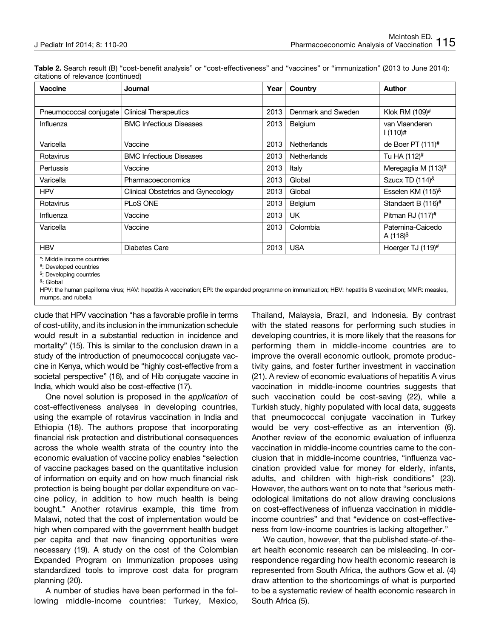| Table 2. Search result (B) "cost-benefit analysis" or "cost-effectiveness" and "vaccines" or "immunization" (2013 to June 2014): |  |  |
|----------------------------------------------------------------------------------------------------------------------------------|--|--|
| citations of relevance (continued)                                                                                               |  |  |

| <b>Vaccine</b>             | Journal                            | Year | Country            | <b>Author</b>                       |
|----------------------------|------------------------------------|------|--------------------|-------------------------------------|
|                            |                                    |      |                    |                                     |
| Pneumococcal conjugate     | <b>Clinical Therapeutics</b>       | 2013 | Denmark and Sweden | Klok RM (109)#                      |
| Influenza                  | <b>BMC Infectious Diseases</b>     | 2013 | Belgium            | van Vlaenderen<br>$1(110)$ #        |
| Varicella                  | Vaccine                            | 2013 | <b>Netherlands</b> | de Boer PT $(111)^{\#}$             |
| Rotavirus                  | <b>BMC Infectious Diseases</b>     | 2013 | Netherlands        | Tu HA (112)#                        |
| Pertussis                  | Vaccine                            | 2013 | Italy              | Meregaglia M (113)#                 |
| Varicella                  | Pharmacoeconomics                  | 2013 | Global             | Szucx TD $(114)^{8}$                |
| <b>HPV</b>                 | Clinical Obstetrics and Gynecology | 2013 | Global             | Esselen KM (115)&                   |
| Rotavirus                  | <b>PLoS ONE</b>                    | 2013 | Belgium            | Standaert B (116)#                  |
| Influenza                  | Vaccine                            | 2013 | <b>UK</b>          | Pitman RJ (117)#                    |
| Varicella                  | Vaccine                            | 2013 | Colombia           | Paternina-Caicedo<br>A $(118)^{\$}$ |
| <b>HBV</b>                 | Diabetes Care                      | 2013 | <b>USA</b>         | Hoerger TJ $(119)^{\#}$             |
| *: Middle income countries |                                    |      |                    |                                     |

#: Developed countries

\$: Developing countries

HPV: the human papilloma virus; HAV: hepatitis A vaccination; EPI: the expanded programme on immunization; HBV: hepatitis B vaccination; MMR: measles, mumps, and rubella

clude that HPV vaccination "has a favorable profile in terms of cost-utility, and its inclusion in the immunization schedule would result in a substantial reduction in incidence and mortality" (15). This is similar to the conclusion drawn in a study of the introduction of pneumococcal conjugate vaccine in Kenya, which would be "highly cost-effective from a societal perspective" (16), and of Hib conjugate vaccine in India, which would also be cost-effective (17).

One novel solution is proposed in the *application* of cost-effectiveness analyses in developing countries, using the example of rotavirus vaccination in India and Ethiopia (18). The authors propose that incorporating financial risk protection and distributional consequences across the whole wealth strata of the country into the economic evaluation of vaccine policy enables "selection of vaccine packages based on the quantitative inclusion of information on equity and on how much financial risk protection is being bought per dollar expenditure on vaccine policy, in addition to how much health is being bought." Another rotavirus example, this time from Malawi, noted that the cost of implementation would be high when compared with the government health budget per capita and that new financing opportunities were necessary (19). A study on the cost of the Colombian Expanded Program on Immunization proposes using standardized tools to improve cost data for program planning (20).

A number of studies have been performed in the following middle-income countries: Turkey, Mexico, Thailand, Malaysia, Brazil, and Indonesia. By contrast with the stated reasons for performing such studies in developing countries, it is more likely that the reasons for performing them in middle-income countries are to improve the overall economic outlook, promote productivity gains, and foster further investment in vaccination (21). A review of economic evaluations of hepatitis A virus vaccination in middle-income countries suggests that such vaccination could be cost-saving (22), while a Turkish study, highly populated with local data, suggests that pneumococcal conjugate vaccination in Turkey would be very cost-effective as an intervention (6). Another review of the economic evaluation of influenza vaccination in middle-income countries came to the conclusion that in middle-income countries, "influenza vaccination provided value for money for elderly, infants, adults, and children with high-risk conditions" (23). However, the authors went on to note that "serious methodological limitations do not allow drawing conclusions on cost-effectiveness of influenza vaccination in middleincome countries" and that "evidence on cost-effectiveness from low-income countries is lacking altogether."

We caution, however, that the published state-of-theart health economic research can be misleading. In correspondence regarding how health economic research is represented from South Africa, the authors Gow et al. (4) draw attention to the shortcomings of what is purported to be a systematic review of health economic research in South Africa (5).

<sup>&</sup>amp;: Global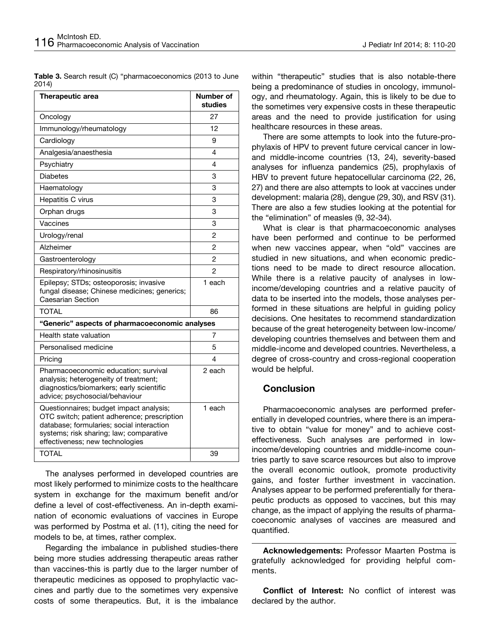**Table 3.** Search result (C) "pharmacoeconomics (2013 to June 2014)

| Therapeutic area                                                                                                                                                                                                  | Number of<br>studies |  |  |  |
|-------------------------------------------------------------------------------------------------------------------------------------------------------------------------------------------------------------------|----------------------|--|--|--|
| Oncology                                                                                                                                                                                                          | 27                   |  |  |  |
| Immunology/rheumatology                                                                                                                                                                                           | 12                   |  |  |  |
| Cardiology                                                                                                                                                                                                        | 9                    |  |  |  |
| Analgesia/anaesthesia                                                                                                                                                                                             | 4                    |  |  |  |
| Psychiatry                                                                                                                                                                                                        | 4                    |  |  |  |
| <b>Diabetes</b>                                                                                                                                                                                                   | 3                    |  |  |  |
| Haematology                                                                                                                                                                                                       | 3                    |  |  |  |
| Hepatitis C virus                                                                                                                                                                                                 | 3                    |  |  |  |
| Orphan drugs                                                                                                                                                                                                      | 3                    |  |  |  |
| Vaccines                                                                                                                                                                                                          | 3                    |  |  |  |
| Urology/renal                                                                                                                                                                                                     | 2                    |  |  |  |
| Alzheimer                                                                                                                                                                                                         | 2                    |  |  |  |
| Gastroenterology                                                                                                                                                                                                  | 2                    |  |  |  |
| Respiratory/rhinosinusitis                                                                                                                                                                                        | 2                    |  |  |  |
| Epilepsy; STDs; osteoporosis; invasive<br>fungal disease; Chinese medicines; generics;<br><b>Caesarian Section</b>                                                                                                | 1 each               |  |  |  |
| <b>TOTAL</b>                                                                                                                                                                                                      | 86                   |  |  |  |
| "Generic" aspects of pharmacoeconomic analyses                                                                                                                                                                    |                      |  |  |  |
| Health state valuation                                                                                                                                                                                            | 7                    |  |  |  |
| Personalised medicine                                                                                                                                                                                             | 5                    |  |  |  |
| Pricing                                                                                                                                                                                                           | 4                    |  |  |  |
| Pharmacoeconomic education; survival<br>analysis; heterogeneity of treatment;<br>diagnostics/biomarkers; early scientific<br>advice; psychosocial/behaviour                                                       | 2 each               |  |  |  |
| Questionnaires; budget impact analysis;<br>OTC switch; patient adherence; prescription<br>database; formularies; social interaction<br>systems; risk sharing; law; comparative<br>effectiveness; new technologies | 1 each               |  |  |  |
| <b>TOTAL</b>                                                                                                                                                                                                      | 39                   |  |  |  |

The analyses performed in developed countries are most likely performed to minimize costs to the healthcare system in exchange for the maximum benefit and/or define a level of cost-effectiveness. An in-depth examination of economic evaluations of vaccines in Europe was performed by Postma et al. (11), citing the need for models to be, at times, rather complex.

Regarding the imbalance in published studies-there being more studies addressing therapeutic areas rather than vaccines-this is partly due to the larger number of therapeutic medicines as opposed to prophylactic vaccines and partly due to the sometimes very expensive costs of some therapeutics. But, it is the imbalance

within "therapeutic" studies that is also notable-there being a predominance of studies in oncology, immunology, and rheumatology. Again, this is likely to be due to the sometimes very expensive costs in these therapeutic areas and the need to provide justification for using healthcare resources in these areas.

There are some attempts to look into the future-prophylaxis of HPV to prevent future cervical cancer in lowand middle-income countries (13, 24), severity-based analyses for influenza pandemics (25), prophylaxis of HBV to prevent future hepatocellular carcinoma (22, 26, 27) and there are also attempts to look at vaccines under development: malaria (28), dengue (29, 30), and RSV (31). There are also a few studies looking at the potential for the "elimination" of measles (9, 32-34).

What is clear is that pharmacoeconomic analyses have been performed and continue to be performed when new vaccines appear, when "old" vaccines are studied in new situations, and when economic predictions need to be made to direct resource allocation. While there is a relative paucity of analyses in lowincome/developing countries and a relative paucity of data to be inserted into the models, those analyses performed in these situations are helpful in guiding policy decisions. One hesitates to recommend standardization because of the great heterogeneity between low-income/ developing countries themselves and between them and middle-income and developed countries. Nevertheless, a degree of cross-country and cross-regional cooperation would be helpful.

## **Conclusion**

Pharmacoeconomic analyses are performed preferentially in developed countries, where there is an imperative to obtain "value for money" and to achieve costeffectiveness. Such analyses are performed in lowincome/developing countries and middle-income countries partly to save scarce resources but also to improve the overall economic outlook, promote productivity gains, and foster further investment in vaccination. Analyses appear to be performed preferentially for therapeutic products as opposed to vaccines, but this may change, as the impact of applying the results of pharmacoeconomic analyses of vaccines are measured and quantified.

**Acknowledgements:** Professor Maarten Postma is gratefully acknowledged for providing helpful comments.

**Conflict of Interest:** No conflict of interest was declared by the author.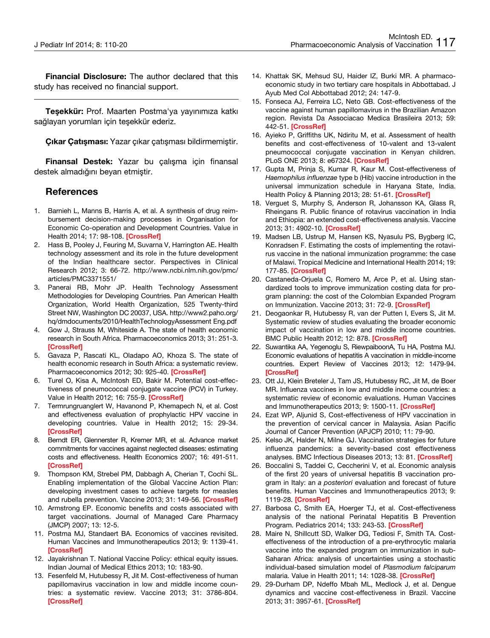**Financial Disclosure:** The author declared that this study has received no financial support.

**Teşekkür:** Prof. Maarten Postma'ya yayınımıza katkı sağlayan yorumları için teşekkür ederiz.

**Çıkar Çatışması:** Yazar çıkar çatışması bildirmemiştir.

**Finansal Destek:** Yazar bu çalışma için finansal destek almadığını beyan etmiştir.

#### **References**

- 1. Barnieh L, Manns B, Harris A, et al. A synthesis of drug reimbursement decision-making processes in Organisation for Economic Co-operation and Development Countries. Value in Health 2014; 17: 98-108. **[[CrossRef](http://dx.doi.org/10.1016/j.jval.2013.10.008)]**
- 2. Hass B, Pooley J, Feuring M, Suvarna V, Harrington AE. Health technology assessment and its role in the future development of the Indian healthcare sector. Perspectives in Clinical Research 2012; 3: 66-72. [http://www.ncbi.nlm.nih.gov/pmc/](http://www.ncbi.nlm.nih.gov/pmc/articles/PMC3371551/) [articles/PMC3371551/](http://www.ncbi.nlm.nih.gov/pmc/articles/PMC3371551/)
- 3. Panerai RB, Mohr JP. Health Technology Assessment Methodologies for Developing Countries. Pan American Health Organization, World Health Organization, 525 Twenty-third Street NW, Washington DC 20037, USA. [http://www2.paho.org/](http://www2.paho.org/hq/dmdocuments/2010/HealthTechnologyAssessmentEng.pdf) [hq/dmdocuments/2010/HealthTechnologyAssessment Eng.pdf](http://www2.paho.org/hq/dmdocuments/2010/HealthTechnologyAssessmentEng.pdf)
- 4. Gow J, Strauss M, Whiteside A. The state of health economic research in South Africa. Pharmacoeconomics 2013; 31: 251-3. **[\[CrossRef](http://dx.doi.org/10.1007/s40273-013-0024-y)]**
- 5. Gavaza P, Rascati KL, Oladapo AO, Khoza S. The state of health economic research in South Africa: a systematic review. Pharmacoeconomics 2012; 30: 925-40. **[[CrossRef](http://dx.doi.org/10.2165/11589450-000000000-00000)]**
- 6. Turel O, Kisa A, McIntosh ED, Bakir M. Potential cost-effectiveness of pneumococcal conjugate vaccine (PCV) in Turkey. Value in Health 2012; 16: 755-9. **[[CrossRef](http://dx.doi.org/10.1016/j.jval.2013.03.1632)]**
- 7. Termrungruanglert W, Havanond P, Khemapech N, et al. Cost and effectiveness evaluation of prophylactic HPV vaccine in developing countries. Value in Health 2012; 15: 29-34. **[\[CrossRef](http://dx.doi.org/10.1016/j.jval.2011.11.007)]**
- 8. Berndt ER, Glennerster R, Kremer MR, et al. Advance market commitments for vaccines against neglected diseases: estimating costs and effectiveness. Health Economics 2007; 16: 491-511. **[\[CrossRef](http://dx.doi.org/10.1002/hec.1176)]**
- 9. Thompson KM, Strebel PM, Dabbagh A, Cherian T, Cochi SL. Enabling implementation of the Global Vaccine Action Plan: developing investment cases to achieve targets for measles and rubella prevention. Vaccine 2013; 31: 149-56. **[\[CrossRef](http://dx.doi.org/10.1016/j.vaccine.2012.11.091)]**
- 10. Armstrong EP. Economic benefits and costs associated with target vaccinations. Journal of Managed Care Pharmacy (JMCP) 2007; 13: 12-5.
- 11. Postma MJ, Standaert BA. Economics of vaccines revisited. Human Vaccines and Immunotherapeutics 2013; 9: 1139-41. **[\[CrossRef](http://dx.doi.org/10.4161/hv.23447)]**
- 12. Jayakrishnan T. National Vaccine Policy: ethical equity issues. Indian Journal of Medical Ethics 2013; 10: 183-90.
- 13. Fesenfeld M, Hutubessy R, Jit M. Cost-effectiveness of human papillomavirus vaccination in low and middle income countries: a systematic review. Vaccine 2013; 31: 3786-804. **[\[CrossRef](http://dx.doi.org/10.1016/j.vaccine.2013.06.060)]**
- 14. Khattak SK, Mehsud SU, Haider IZ, Burki MR. A pharmacoeconomic study in two tertiary care hospitals in Abbottabad. J Ayub Med Col Abbottabad 2012; 24: 147-9.
- 15. Fonseca AJ, Ferreira LC, Neto GB. Cost-effectiveness of the vaccine against human papillomavirus in the Brazilian Amazon region. Revista Da Associacao Medica Brasileira 2013; 59: 442-51. **[[CrossRef\]](http://dx.doi.org/10.1016/j.ramb.2013.03.004)**
- 16. Ayieko P, Griffiths UK, Ndiritu M, et al. Assessment of health benefits and cost-effectiveness of 10-valent and 13-valent pneumococcal conjugate vaccination in Kenyan children. PLoS ONE 2013; 8: e67324. **[\[CrossRef](http://dx.doi.org/10.1371/journal.pone.0067324)]**
- 17. Gupta M, Prinja S, Kumar R, Kaur M. Cost-effectiveness of *Haemophilus influenzae* type b (Hib) vaccine introduction in the universal immunization schedule in Haryana State, India. Health Policy & Planning 2013; 28: 51-61. **[[CrossRef](http://dx.doi.org/10.1093/heapol/czs025)]**
- 18. Verguet S, Murphy S, Anderson R, Johansson KA, Glass R, Rheingans R. Public finance of rotavirus vaccination in India and Ethiopia: an extended cost-effectiveness analysis. Vaccine 2013; 31: 4902-10. **[[CrossRef\]](http://dx.doi.org/10.1016/j.vaccine.2013.07.014)**
- 19. Madsen LB, Ustrup M, Hansen KS, Nyasulu PS, Bygberg IC, Konradsen F. Estimating the costs of implementing the rotavirus vaccine in the national immunization programme: the case of Malawi. Tropical Medicine and International Health 2014; 19: 177-85. **[[CrossRef\]](http://dx.doi.org/10.1111/tmi.12233)**
- 20. Castaneda-Orjuela C, Romero M, Arce P, et al. Using standardized tools to improve immunization costing data for program planning: the cost of the Colombian Expanded Program on Immunization. Vaccine 2013; 31: 72-9. **[\[CrossRef](http://dx.doi.org/10.1016/j.vaccine.2013.05.038)]**
- 21. Deogaonkar R, Hutubessy R, van der Putten I, Evers S, Jit M. Systematic review of studies evaluating the broader economic impact of vaccination in low and middle income countries. BMC Public Health 2012; 12: 878. **[[CrossRef\]](http://dx.doi.org/10.1186/1471-2458-12-878)**
- 22. Suwantika AA, Yegenoglu S, RiewpaiboonA, Tu HA, Postma MJ. Economic evaluations of hepatitis A vaccination in middle-income countries. Expert Review of Vaccines 2013; 12: 1479-94. **[\[CrossRef\]](http://dx.doi.org/10.1586/14760584.2013.851008)**
- 23. Ott JJ, Klein Breteler J, Tam JS, Hutubessy RC, Jit M, de Boer MR. Influenza vaccines in low and middle income countries: a systematic review of economic evaluations. Human Vaccines and Immunotherapeutics 2013; 9: 1500-11. **[[CrossRef\]](http://dx.doi.org/10.4161/hv.24704)**
- 24. Ezat WP, Aljunid S, Cost-effectiveness of HPV vaccination in the prevention of cervical cancer in Malaysia. Asian Pacific Journal of Cancer Prevention (APJCP) 2010; 11: 79-90.
- 25. Kelso JK, Halder N, Milne GJ. Vaccination strategies for future influenza pandemics: a severity-based cost effectiveness analyses. BMC Infectious Diseases 2013; 13: 81. **[\[CrossRef](http://dx.doi.org/10.1186/1471-2334-13-81)]**
- 26. Boccalini S, Taddei C, Ceccherini V, et al. Economic analysis of the first 20 years of universal hepatitis B vaccination program in Italy: an *a posteriori* evaluation and forecast of future benefits. Human Vaccines and Immunotherapeutics 2013; 9: 1119-28. **[[CrossRef](http://dx.doi.org/10.4161/hv.23827)]**
- 27. Barbosa C, Smith EA, Hoerger TJ, et al. Cost-effectiveness analysis of the national Perinatal Hepatitis B Prevention Program. Pediatrics 2014; 133: 243-53. **[\[CrossRef\]](http://dx.doi.org/10.1542/peds.2013-0718)**
- 28. Maire N, Shillcutt SD, Walker DG, Tediosi F, Smith TA. Costeffectiveness of the introduction of a pre-erythrocytic malaria vaccine into the expanded program on immunization in sub-Saharan Africa: analysis of uncertainties using a stochastic individual-based simulation model of *Plasmodium falciparum* malaria. Value in Health 2011; 14: 1028-38. **[\[CrossRef](http://dx.doi.org/10.1016/j.jval.2011.06.004)]**
- 29. 29-Durham DP, Ndeffo Mbah ML, Medlock J, et al. Dengue dynamics and vaccine cost-effectiveness in Brazil. Vaccine 2013; 31: 3957-61. **[[CrossRef\]](http://dx.doi.org/10.1016/j.vaccine.2013.06.036)**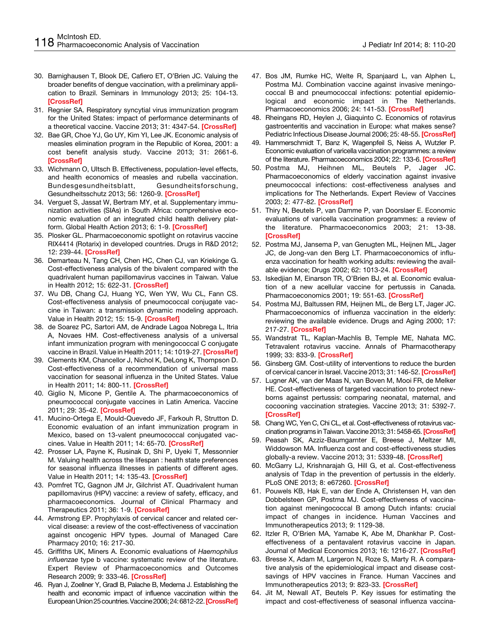- 30. Barnighausen T, Blook DE, Cafiero ET, O'Brien JC. Valuing the broader benefits of dengue vaccination, with a preliminary application to Brazil. Seminars in Immunology 2013; 25: 104-13. **[\[CrossRef](http://dx.doi.org/10.1016/j.smim.2013.04.010)]**
- 31. Regnier SA. Respiratory syncytial virus immunization program for the United States: impact of performance determinants of a theoretical vaccine. Vaccine 2013; 31: 4347-54. **[[CrossRef](http://dx.doi.org/10.1016/j.vaccine.2013.07.024)]**
- 32. Bae GR, Choe YJ, Go UY, Kim YI, Lee JK. Economic analysis of measles elimination program in the Republic of Korea, 2001: a cost benefit analysis study. Vaccine 2013; 31: 2661-6. **[\[CrossRef](http://dx.doi.org/10.1016/j.vaccine.2013.04.014)]**
- 33. Wichmann O, Ultsch B. Effectiveness, population-level effects, and health economics of measles and rubella vaccination. Bundesgesundheitsblatt, Gesundheitsforschung, Gesundheitsschutz 2013; 56: 1260-9. **[\[CrossRef\]](http://dx.doi.org/10.1007/s00103-013-1801-7)**
- 34. Verguet S, Jassat W, Bertram MY, et al. Supplementary immunization activities (SIAs) in South Africa: comprehensive economic evaluation of an integrated child health delivery platform. Global Health Action 2013; 6: 1-9. **[\[CrossRef](http://dx.doi.org/10.3402/gha.v6i0.20056)]**
- 35. Plosker GL. Pharmacoeconomic spotlight on rotavirus vaccine RIX4414 (Rotarix) in developed countries. Drugs in R&D 2012; 12: 239-44. **[[CrossRef](http://dx.doi.org/10.2165/11208130-000000000-00000)]**
- 36. Demarteau N, Tang CH, Chen HC, Chen CJ, van Kriekinge G. Cost-effectiveness analysis of the bivalent compared with the quadrivalent human papillomavirus vaccines in Taiwan. Value in Health 2012; 15: 622-31. **[[CrossRef\]](http://dx.doi.org/10.1016/j.jval.2012.02.012)**
- 37. Wu DB, Chang CJ, Huang YC, Wen YW, Wu CL, Fann CS. Cost-effectiveness analysis of pneumococcal conjugate vaccine in Taiwan: a transmission dynamic modeling approach. Value in Health 2012; 15: 15-9. **[[CrossRef\]](http://dx.doi.org/10.1016/j.jval.2011.11.013)**
- 38. de Soarez PC, Sartori AM, de Andrade Lagoa Nobrega L, Itria A, Novaes HM. Cost-effectiveness analysis of a universal infant immunization program with meningococcal C conjugate vaccine in Brazil. Value in Health 2011; 14: 1019-27. **[[CrossRef](http://dx.doi.org/10.1016/j.jval.2011.05.045)]**
- 39. Clements KM, Chancellor J, Nichol K, DeLong K, Thompson D. Cost-effectiveness of a recommendation of universal mass vaccination for seasonal influenza in the United States. Value in Health 2011; 14: 800-11. **[[CrossRef\]](http://dx.doi.org/10.1016/j.jval.2011.03.005)**
- 40. Giglio N, Micone P, Gentile A. The pharmacoeconomics of pneumococcal conjugate vaccines in Latin America. Vaccine 2011; 29: 35-42. **[[CrossRef\]](http://dx.doi.org/10.1016/j.vaccine.2011.06.095)**
- 41. Mucino-Ortega E, Mould-Quevedo JF, Farkouh R, Strutton D. Economic evaluation of an infant immunization program in Mexico, based on 13-valent pneumococcal conjugated vaccines. Value in Health 2011; 14: 65-70. **[[CrossRef](http://dx.doi.org/10.1016/j.jval.2011.05.025)]**
- 42. Prosser LA, Payne K, Rusinak D, Shi P, Uyeki T, Messonnier M. Valuing health across the lifespan : health state preferences for seasonal influenza illnesses in patients of different ages. Value in Health 2011; 14: 135-43. **[\[CrossRef](http://dx.doi.org/10.1016/j.jval.2010.10.026)]**
- 43. Pomfret TC, Gagnon JM Jr, Gilchrist AT. Quadrivalent human papillomavirus (HPV) vaccine: a review of safety, efficacy, and pharmacoeconomics. Journal of Clinical Pharmacy and Therapeutics 2011; 36: 1-9. **[\[CrossRef](http://dx.doi.org/10.1111/j.1365-2710.2009.01150.x)]**
- 44. Armstrong EP. Prophylaxis of cervical cancer and related cervical disease: a review of the cost-effectiveness of vaccination against oncogenic HPV types. Journal of Managed Care Pharmacy 2010; 16: 217-30.
- 45. Griffiths UK, Miners A. Economic evaluations of *Haemophilus influenzae* type b vaccine: systematic review of the literature. Expert Review of Pharmacoeconomics and Outcomes Research 2009; 9: 333-46. **[\[CrossRef](http://dx.doi.org/10.1586/erp.09.38)]**
- 46. Ryan J, Zoellner Y, Gradl B, Palache B, Medema J. Establishing the health and economic impact of influence vaccination within the European Union 25 countries. Vaccine 2006; 24: 6812-22. **[\[CrossRef](http://dx.doi.org/10.1016/j.vaccine.2006.07.042)]**
- 47. Bos JM, Rumke HC, Welte R, Spanjaard L, van Alphen L, Postma MJ. Combination vaccine against invasive meningococcal B and pneumococcal infections: potential epidemiological and economic impact in The Netherlands. Pharmacoeconomics 2006; 24: 141-53. **[\[CrossRef](http://dx.doi.org/10.2165/00019053-200624020-00004)]**
- 48. Rheingans RD, Heylen J, Giaquinto C. Economics of rotavirus gastroenteritis and vaccination in Europe: what makes sense? Pediatric Infectious Disease Journal 2006; 25: 48-55. **[\[CrossRef](http://dx.doi.org/10.1097/01.inf.0000197566.47750.3d)]**
- 49. Hammerschmidt T, Banz K, Wagenpfeil S, Neiss A, Wutzler P. Economic evaluation of varicella vaccination programmes: a review of the literature. Pharmacoeconomics 2004; 22: 133-6. **[\[CrossRef](http://dx.doi.org/10.2165/00019053-200422020-00005)]**
- 50. Postma MJ, Heihnen ML, Beutels P, Jager JC. Pharmacoeconomics of elderly vaccination against invasive pneumococcal infections: cost-effectiveness analyses and implications for The Netherlands. Expert Review of Vaccines 2003; 2: 477-82. **[[CrossRef](http://dx.doi.org/10.1586/14760584.2.4.477)]**
- 51. Thiry N, Beutels P, van Damme P, van Doorslaer E. Economic evaluations of varicella vaccination programmes: a review of the literature. Pharmacoeconomics 2003; 21: 13-38. **[\[CrossRef\]](http://dx.doi.org/10.2165/00019053-200321010-00002)**
- 52. Postma MJ, Jansema P, van Genugten ML, Heijnen ML, Jager JC, de Jong-van den Berg LT. Pharmacoeconomics of influenza vaccination for health working adults: reviewing the available evidence; Drugs 2002; 62: 1013-24. **[\[CrossRef\]](http://dx.doi.org/10.2165/00003495-200262070-00003)**
- 53. Iskedjian M, Einarson TR, O'Brien BJ, et al. Economic evaluation of a new acellular vaccine for pertussis in Canada. Pharmacoeconomics 2001; 19: 551-63. **[\[CrossRef](http://dx.doi.org/10.2165/00019053-200119050-00009)]**
- 54. Postma MJ, Baltussen RM, Heijnen ML, de Berg LT, Jager JC. Pharmacoeconomics of influenza vaccination in the elderly: reviewing the available evidence. Drugs and Aging 2000; 17: 217-27. **[[CrossRef\]](http://dx.doi.org/10.2165/00002512-200017030-00005)**
- 55. Wandstrat TL, Kaplan-Machlis B, Temple ME, Nahata MC. Tetravalent rotavirus vaccine. Annals of Pharmacotherapy 1999; 33: 833-9. **[[CrossRef](http://dx.doi.org/10.1345/aph.18332)]**
- 56. Ginsberg GM. Cost-utility of interventions to reduce the burden of cervical cancer in Israel. Vaccine 2013; 31: 146-52. **[\[CrossRef](http://dx.doi.org/10.1016/j.vaccine.2012.04.110)]**
- 57. Lugner AK, van der Maas N, van Boven M, Mooi FR, de Melker HE. Cost-effectiveness of targeted vaccination to protect newborns against pertussis: comparing neonatal, maternal, and cocooning vaccination strategies. Vaccine 2013; 31: 5392-7. **[\[CrossRef\]](http://dx.doi.org/10.1016/j.vaccine.2013.09.028)**
- 58. Chang WC, Yen C, Chi CL, et al. Cost-effectiveness of rotavirus vaccination programs in Taiwan. Vaccine 2013; 31: 5458-65. **[\[CrossRef](http://dx.doi.org/10.1016/j.vaccine.2013.08.103)]**
- 59. Peasah SK, Azziz-Baumgarnter E, Breese J, Meltzer MI, Widdowson MA. Influenza cost and cost-effectiveness studies globally-a review. Vaccine 2013; 31: 5339-48. **[[CrossRef\]](http://dx.doi.org/10.1016/j.vaccine.2013.09.013)**
- 60. McGarry LJ, Krishnarajah G, Hill G, et al. Cost-effectiveness analysis of Tdap in the prevention of pertussis in the elderly. PLoS ONE 2013; 8: e67260. **[\[CrossRef](http://dx.doi.org/10.1371/journal.pone.0067260)]**
- 61. Pouwels KB, Hak E, van der Ende A, Christensen H, van den Dobbelsteen GP, Postma MJ. Cost-effectiveness of vaccination against meningococcal B among Dutch infants: crucial impact of changes in incidence. Human Vaccines and Immunotherapeutics 2013; 9: 1129-38.
- 62. Itzler R, O'Brien MA, Yamabe K, Abe M, Dhankhar P. Costeffectiveness of a pentavalent rotavirus vaccine in Japan. Journal of Medical Economics 2013; 16: 1216-27. **[[CrossRef\]](http://dx.doi.org/10.3111/13696998.2013.831869)**
- 63. Bresse X, Adam M, Largeron N, Roze S, Marty R. A comparative analysis of the epidemiological impact and disease costsavings of HPV vaccines in France. Human Vaccines and Immunotherapeutics 2013; 9: 823-33. **[\[CrossRef](http://dx.doi.org/10.4161/hv.22994)]**
- 64. Jit M, Newall AT, Beutels P. Key issues for estimating the impact and cost-effectiveness of seasonal influenza vaccina-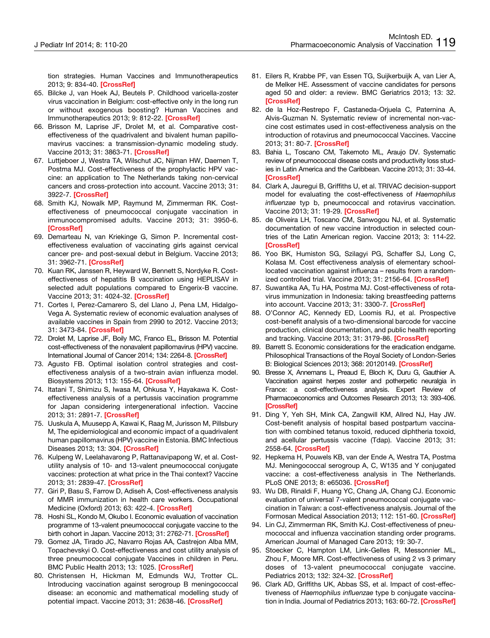tion strategies. Human Vaccines and Immunotherapeutics 2013; 9: 834-40. **[[CrossRef\]](http://dx.doi.org/10.4161/hv.23637)**

- 65. Bilcke J, van Hoek AJ, Beutels P. Childhood varicella-zoster virus vaccination in Belgium: cost-effective only in the long run or without exogenous boosting? Human Vaccines and Immunotherapeutics 2013; 9: 812-22. **[[CrossRef](http://dx.doi.org/10.4161/hv.23334)]**
- 66. Brisson M, Laprise JF, Drolet M, et al. Comparative costeffectiveness of the quadrivalent and bivalent human papillomavirus vaccines: a transmission-dynamic modeling study. Vaccine 2013; 31: 3863-71. **[[CrossRef\]](http://dx.doi.org/10.1016/j.vaccine.2013.06.064)**
- 67. Luttjeboer J, Westra TA, Wilschut JC, Nijman HW, Daemen T, Postma MJ. Cost-effectiveness of the prophylactic HPV vaccine: an application to The Netherlands taking non-cervical cancers and cross-protection into account. Vaccine 2013; 31: 3922-7. **[\[CrossRef](http://dx.doi.org/10.1016/j.vaccine.2013.06.044)]**
- 68. Smith KJ, Nowalk MP, Raymund M, Zimmerman RK. Costeffectiveness of pneumococcal conjugate vaccination in immunocompromised adults. Vaccine 2013; 31: 3950-6. **[\[CrossRef](http://dx.doi.org/10.1016/j.vaccine.2013.06.037)]**
- 69. Demarteau N, van Kriekinge G, Simon P. Incremental costeffectiveness evaluation of vaccinating girls against cervical cancer pre- and post-sexual debut in Belgium. Vaccine 2013; 31: 3962-71. **[\[CrossRef](http://dx.doi.org/10.1016/j.vaccine.2013.06.008)]**
- 70. Kuan RK, Janssen R, Heyward W, Bennett S, Nordyke R. Costeffectiveness of hepatitis B vaccination using HEPLISAV in selected adult populations compared to Engerix-B vaccine. Vaccine 2013; 31: 4024-32. **[[CrossRef\]](http://dx.doi.org/10.1016/j.vaccine.2013.05.014)**
- 71. Cortes I, Perez-Camarero S, del Llano J, Pena LM, Hidalgo-Vega A. Systematic review of economic evaluation analyses of available vaccines in Spain from 2990 to 2012. Vaccine 2013; 31: 3473-84. **[\[CrossRef](http://dx.doi.org/10.1016/j.vaccine.2013.05.097)]**
- 72. Drolet M, Laprise JF, Boily MC, Franco EL, Brisson M. Potential cost-effectiveness of the nonavalent papillomavirus (HPV) vaccine. International Journal of Cancer 2014; 134: 2264-8. **[\[CrossRef\]](http://dx.doi.org/10.1002/ijc.28541)**
- 73. Agusto FB. Optimal isolation control strategies and costeffectiveness analysis of a two-strain avian influenza model. Biosystems 2013; 113: 155-64. **[[CrossRef\]](http://dx.doi.org/10.1016/j.biosystems.2013.06.004)**
- 74. Itatani T, Shimizu S, Iwasa M, Ohkusa Y, Hayakawa K. Costeffectiveness analysis of a pertussis vaccination programme for Japan considering intergenerational infection. Vaccine 2013; 31: 2891-7. **[[CrossRef](http://dx.doi.org/10.1016/j.vaccine.2013.03.032)]**
- 75. Uuskula A, Muusepp A, Kawai K, Raag M, Jurisson M, Pillsbury M, The epidemiological and economic impact of a quadrivalent human papillomavirus (HPV) vaccine in Estonia. BMC Infectious Diseases 2013; 13: 304. **[[CrossRef](http://dx.doi.org/10.1186/1471-2334-13-304)]**
- 76. Kulpeng W, Leelahavarong P, Rattanavipapong W, et al. Costutility analysis of 10- and 13-valent pneumococcal conjugate vaccines: protection at what price in the Thai context? Vaccine 2013; 31: 2839-47. **[\[CrossRef](http://dx.doi.org/10.1016/j.vaccine.2013.03.047)]**
- 77. Giri P, Basu S, Farrow D, Adiseh A, Cost-effectiveness analysis of MMR immunization in health care workers. Occupational Medicine (Oxford) 2013; 63: 422-4. **[\[CrossRef\]](http://dx.doi.org/10.1093/occmed/kqt086)**
- 78. Hoshi SL, Kondo M, Okubo I. Economic evaluation of vaccination programme of 13-valent pneumococcal conjugate vaccine to the birth cohort in Japan. Vaccine 2013; 31: 2762-71. **[[CrossRef](http://dx.doi.org/10.1016/j.vaccine.2013.03.052)]**
- 79. Gomez JA, Tirado JC, Navarro Rojas AA, Castrejon Alba MM, Topachevskyi O. Cost-effectiveness and cost utility analysis of three pneumococcal conjugate Vaccines in children in Peru. BMC Public Health 2013; 13: 1025. **[[CrossRef\]](http://dx.doi.org/10.1186/1471-2458-13-1025)**
- 80. Christensen H, Hickman M, Edmunds WJ, Trotter CL. Introducing vaccination against serogroup B meningococcal disease: an economic and mathematical modelling study of potential impact. Vaccine 2013; 31: 2638-46. **[\[CrossRef](http://dx.doi.org/10.1016/j.vaccine.2013.03.034)]**
- 81. Eilers R, Krabbe PF, van Essen TG, Suijkerbuijk A, van Lier A, de Melker HE. Assessment of vaccine candidates for persons aged 50 and older: a review. BMC Geriatrics 2013; 13: 32. **[\[CrossRef\]](http://dx.doi.org/10.1186/1471-2318-13-32)**
- 82. de la Hoz-Restrepo F, Castaneda-Orjuela C, Paternina A, Alvis-Guzman N. Systematic review of incremental non-vaccine cost estimates used in cost-effectiveness analysis on the introduction of rotavirus and pneumococcal Vaccines. Vaccine 2013; 31: 80-7. **[[CrossRef\]](http://dx.doi.org/10.1016/j.vaccine.2013.05.064)**
- 83. Bahia L, Toscano CM, Takemoto ML, Araujo DV. Systematic review of pneumococcal disease costs and productivity loss studies in Latin America and the Caribbean. Vaccine 2013; 31: 33-44. **[\[CrossRef\]](http://dx.doi.org/10.1016/j.vaccine.2013.05.030)**
- 84. Clark A, Jauregui B, Griffiths U, et al. TRIVAC decision-support model for evaluating the cost-effectiveness of *Haemophilus influenzae* typ b, pneumococcal and rotavirus vaccination. Vaccine 2013; 31: 19-29. **[\[CrossRef\]](http://dx.doi.org/10.1016/j.vaccine.2013.05.045)**
- 85. de Oliveira LH, Toscano CM, Sanwogou NJ, et al. Systematic documentation of new vaccine introduction in selected countries of the Latin American region. Vaccine 2013; 3: 114-22. **[\[CrossRef](http://dx.doi.org/10.1016/j.vaccine.2013.05.032)]**
- 86. Yoo BK, Humiston SG, Szilagyi PG, Schaffer SJ, Long C, Kolasa M. Cost effectiveness analysis of elementary schoollocated vaccination against influenza – results from a randomized controlled trial. Vaccine 2013; 31: 2156-64. **[\[CrossRef\]](http://dx.doi.org/10.1016/j.vaccine.2013.02.052)**
- 87. Suwantika AA, Tu HA, Postma MJ. Cost-effectiveness of rotavirus immunization in Indonesia: taking breastfeeding patterns into account. Vaccine 2013; 31: 3300-7. **[\[CrossRef](http://dx.doi.org/10.1016/j.vaccine.2013.04.055)]**
- 88. O'Connor AC, Kennedy ED, Loomis RJ, et al. Prospective cost-benefit analysis of a two-dimensional barcode for vaccine production, clinical documentation, and public health reporting and tracking. Vaccine 2013; 31: 3179-86. **[\[CrossRef\]](http://dx.doi.org/10.1016/j.vaccine.2013.04.073)**
- 89. Barrett S. Economic considerations for the eradication endgame. Philosophical Transactions of the Royal Society of London-Series B: Biological Sciences 2013; 368: 20120149. **[\[CrossRef](http://dx.doi.org/10.1098/rstb.2012.0149)]**
- 90. Bresse X, Annemans L, Preaud E, Bloch K, Duru G, Gauthier A. Vaccination against herpes zoster and potherpetic neuralgia in France: a cost-effectiveness analysis. Expert Review of Pharmacoeconomics and Outcomes Research 2013; 13: 393-406. **[\[CrossRef](http://dx.doi.org/10.1586/erp.13.19)]**
- 91. Ding Y, Yeh SH, Mink CA, Zangwill KM, Allred NJ, Hay JW. Cost-benefit analysis of hospital based postpartum vaccination with combined tetanus toxoid, reduced diphtheria toxoid, and acellular pertussis vaccine (Tdap). Vaccine 2013; 31: 2558-64. **[[CrossRef](http://dx.doi.org/10.1016/j.vaccine.2013.03.053)]**
- 92. Hepkema H, Pouwels KB, van der Ende A, Westra TA, Postma MJ. Meningococcal serogroup A, C, W135 and Y conjugated vaccine: a cost-effectiveness analysis in The Netherlands. PLoS ONE 2013; 8: e65036. **[\[CrossRef](http://dx.doi.org/10.1371/journal.pone.0065036)]**
- 93. Wu DB, Rinaldi F, Huang YC, Chang JA, Chang CJ. Economic evaluation of universal 7-valent pneumococcal conjugate vaccination in Taiwan: a cost-effectiveness analysis. Journal of the Formosan Medical Association 2013; 112: 151-60. **[\[CrossRef](http://dx.doi.org/10.1016/j.jfma.2011.10.006)]**
- 94. Lin CJ, Zimmerman RK, Smith KJ. Cost-effectiveness of pneumococcal and influenza vaccination standing order programs. American Journal of Managed Care 2013; 19: 30-7.
- 95. Stoecker C, Hampton LM, Link-Gelles R, Messonnier ML, Zhou F, Moore MR. Cost-effectiveness of using 2 vs 3 primary doses of 13-valent pneumococcal conjugate vaccine. Pediatrics 2013; 132: 324-32. **[\[CrossRef](http://dx.doi.org/10.1542/peds.2012-3350)]**
- 96. Clark AD, Griffiths UK, Abbas SS, et al. Impact of cost-effectiveness of *Haemophilus influenzae* type b conjugate vaccination in India. Journal of Pediatrics 2013; 163: 60-72. **[\[CrossRef](http://dx.doi.org/10.1016/j.jpeds.2013.03.032)]**